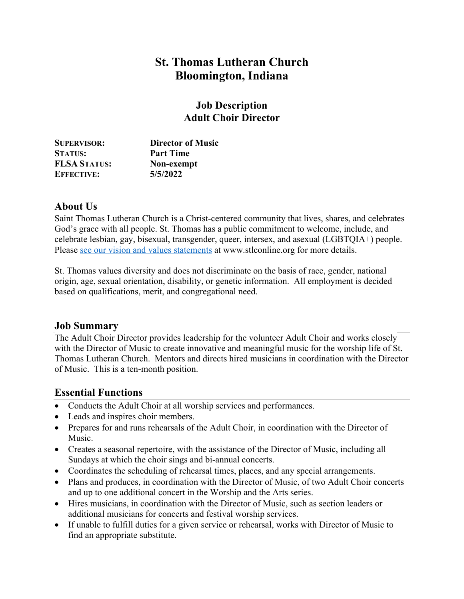# **St. Thomas Lutheran Church Bloomington, Indiana**

## **Job Description Adult Choir Director**

| <b>SUPERVISOR:</b>  | <b>Director of Music</b> |
|---------------------|--------------------------|
| <b>STATUS:</b>      | <b>Part Time</b>         |
| <b>FLSA STATUS:</b> | Non-exempt               |
| <b>EFFECTIVE:</b>   | 5/5/2022                 |

### **About Us**

Saint Thomas Lutheran Church is a Christ-centered community that lives, shares, and celebrates God's grace with all people. St. Thomas has a public commitment to welcome, include, and celebrate lesbian, gay, bisexual, transgender, queer, intersex, and asexual (LGBTQIA+) people. Please see our vision and values statements at www.stlconline.org for more details.

St. Thomas values diversity and does not discriminate on the basis of race, gender, national origin, age, sexual orientation, disability, or genetic information. All employment is decided based on qualifications, merit, and congregational need.

#### **Job Summary**

The Adult Choir Director provides leadership for the volunteer Adult Choir and works closely with the Director of Music to create innovative and meaningful music for the worship life of St. Thomas Lutheran Church. Mentors and directs hired musicians in coordination with the Director of Music. This is a ten-month position.

# **Essential Functions**

- Conducts the Adult Choir at all worship services and performances.
- Leads and inspires choir members.
- Prepares for and runs rehearsals of the Adult Choir, in coordination with the Director of Music.
- Creates a seasonal repertoire, with the assistance of the Director of Music, including all Sundays at which the choir sings and bi-annual concerts.
- Coordinates the scheduling of rehearsal times, places, and any special arrangements.
- Plans and produces, in coordination with the Director of Music, of two Adult Choir concerts and up to one additional concert in the Worship and the Arts series.
- Hires musicians, in coordination with the Director of Music, such as section leaders or additional musicians for concerts and festival worship services.
- If unable to fulfill duties for a given service or rehearsal, works with Director of Music to find an appropriate substitute.